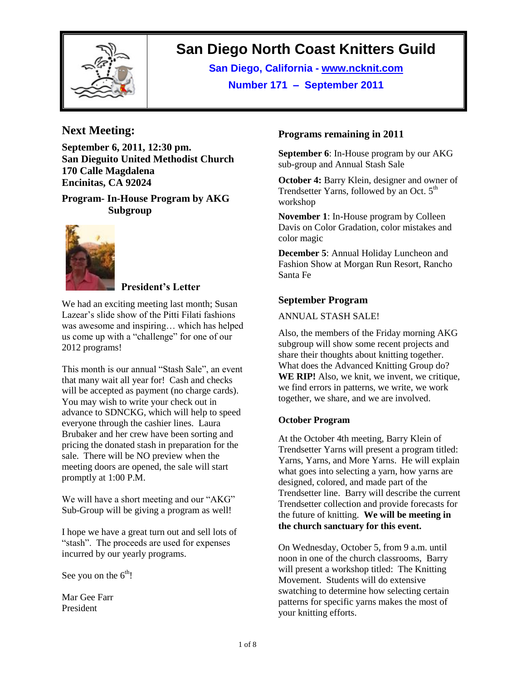

# **San Diego North Coast Knitters Guild**

**San Diego, California - www.ncknit.com Number 171 – September 2011**

# **Next Meeting:**

**September 6, 2011, 12:30 pm. San Dieguito United Methodist Church 170 Calle Magdalena Encinitas, CA 92024**

**Program- In-House Program by AKG Subgroup**



#### **President's Letter**

We had an exciting meeting last month; Susan Lazear's slide show of the Pitti Filati fashions was awesome and inspiring… which has helped us come up with a "challenge" for one of our 2012 programs!

This month is our annual "Stash Sale", an event that many wait all year for! Cash and checks will be accepted as payment (no charge cards). You may wish to write your check out in advance to SDNCKG, which will help to speed everyone through the cashier lines. Laura Brubaker and her crew have been sorting and pricing the donated stash in preparation for the sale. There will be NO preview when the meeting doors are opened, the sale will start promptly at 1:00 P.M.

We will have a short meeting and our "AKG" Sub-Group will be giving a program as well!

I hope we have a great turn out and sell lots of "stash". The proceeds are used for expenses incurred by our yearly programs.

See you on the  $6<sup>th</sup>!$ 

Mar Gee Farr President

#### **Programs remaining in 2011**

**September 6**: In-House program by our AKG sub-group and Annual Stash Sale

**October 4:** Barry Klein, designer and owner of Trendsetter Yarns, followed by an Oct.  $5<sup>th</sup>$ workshop

**November 1**: In-House program by Colleen Davis on Color Gradation, color mistakes and color magic

**December 5**: Annual Holiday Luncheon and Fashion Show at Morgan Run Resort, Rancho Santa Fe

#### **September Program**

#### ANNUAL STASH SALE!

Also, the members of the Friday morning AKG subgroup will show some recent projects and share their thoughts about knitting together. What does the Advanced Knitting Group do? **WE RIP!** Also, we knit, we invent, we critique, we find errors in patterns, we write, we work together, we share, and we are involved.

#### **October Program**

At the October 4th meeting, Barry Klein of Trendsetter Yarns will present a program titled: Yarns, Yarns, and More Yarns. He will explain what goes into selecting a yarn, how yarns are designed, colored, and made part of the Trendsetter line. Barry will describe the current Trendsetter collection and provide forecasts for the future of knitting. **We will be meeting in the church sanctuary for this event.**

On Wednesday, October 5, from 9 a.m. until noon in one of the church classrooms, Barry will present a workshop titled: The Knitting Movement. Students will do extensive swatching to determine how selecting certain patterns for specific yarns makes the most of your knitting efforts.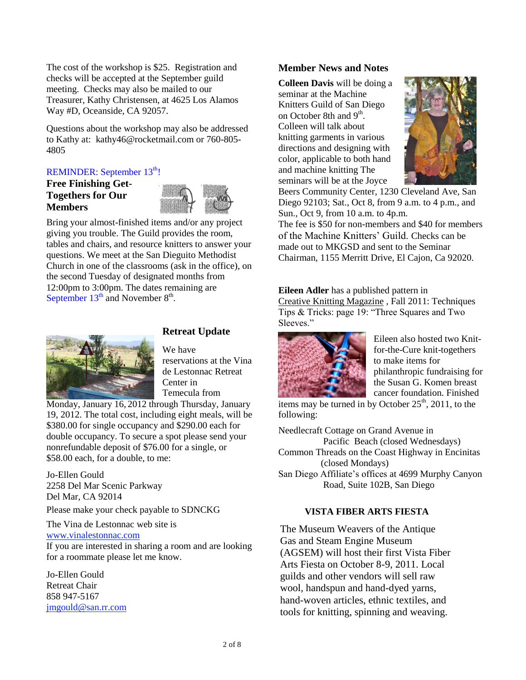The cost of the workshop is \$25. Registration and checks will be accepted at the September guild meeting. Checks may also be mailed to our Treasurer, Kathy Christensen, at 4625 Los Alamos Way #D, Oceanside, CA 92057.

Questions about the workshop may also be addressed to Kathy at: kathy46@rocketmail.com or 760-805- 4805

# REMINDER: September 13<sup>th</sup>!

#### **Free Finishing Get-Togethers for Our Members**



Bring your almost-finished items and/or any project giving you trouble. The Guild provides the room, tables and chairs, and resource knitters to answer your questions. We meet at the San Dieguito Methodist Church in one of the classrooms (ask in the office), on the second Tuesday of designated months from 12:00pm to 3:00pm. The dates remaining are September  $13<sup>th</sup>$  and November  $8<sup>th</sup>$ .



# **Retreat Update**

We have reservations at the Vina de Lestonnac Retreat Center in Temecula from

Monday, January 16, 2012 through Thursday, January 19, 2012. The total cost, including eight meals, will be \$380.00 for single occupancy and \$290.00 each for double occupancy. To secure a spot please send your nonrefundable deposit of \$76.00 for a single, or \$58.00 each, for a double, to me:

Jo-Ellen Gould 2258 Del Mar Scenic Parkway Del Mar, CA 92014

Please make your check payable to SDNCKG

The Vina de Lestonnac web site is [www.vinalestonnac.com](http://www.vinalestonac.com/)

If you are interested in sharing a room and are looking for a roommate please let me know.

Jo-Ellen Gould Retreat Chair 858 947-5167 [jmgould@san.rr.com](mailto:jmgould@san.rr.com)

#### **Member News and Notes**

**Colleen Davis** will be doing a seminar at the Machine Knitters Guild of San Diego on October 8th and 9<sup>th</sup>. Colleen will talk about knitting garments in various directions and designing with color, applicable to both hand and machine knitting The seminars will be at the Joyce



Beers Community Center, 1230 Cleveland Ave, San Diego 92103; Sat., Oct 8, from 9 a.m. to 4 p.m., and Sun., Oct 9, from 10 a.m. to 4p.m.

The fee is \$50 for non-members and \$40 for members of the Machine Knitters" Guild. Checks can be made out to MKGSD and sent to the Seminar Chairman, 1155 Merritt Drive, El Cajon, Ca 92020.

**Eileen Adler** has a published pattern in Creative Knitting Magazine , Fall 2011: Techniques Tips & Tricks: page 19: "Three Squares and Two Sleeves."



Eileen also hosted two Knitfor-the-Cure knit-togethers to make items for philanthropic fundraising for the Susan G. Komen breast cancer foundation. Finished

items may be turned in by October  $25<sup>th</sup>$ , 2011, to the following:

Needlecraft Cottage on Grand Avenue in Pacific Beach (closed Wednesdays) Common Threads on the Coast Highway in Encinitas (closed Mondays) San Diego Affiliate"s offices at 4699 Murphy Canyon Road, Suite 102B, San Diego

#### **VISTA FIBER ARTS FIESTA**

The Museum Weavers of the Antique Gas and Steam Engine Museum (AGSEM) will host their first Vista Fiber Arts Fiesta on October 8-9, 2011. Local guilds and other vendors will sell raw wool, handspun and hand-dyed yarns, hand-woven articles, ethnic textiles, and tools for knitting, spinning and weaving.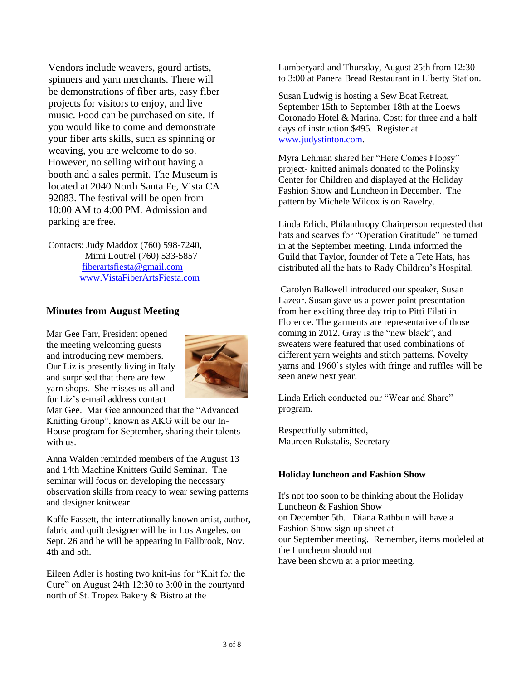Vendors include weavers, gourd artists, spinners and yarn merchants. There will be demonstrations of fiber arts, easy fiber projects for visitors to enjoy, and live music. Food can be purchased on site. If you would like to come and demonstrate your fiber arts skills, such as spinning or weaving, you are welcome to do so. However, no selling without having a booth and a sales permit. The Museum is located at 2040 North Santa Fe, Vista CA 92083. The festival will be open from 10:00 AM to 4:00 PM. Admission and parking are free.

Contacts: Judy Maddox (760) 598-7240, Mimi Loutrel (760) 533-5857 [fiberartsfiesta@gmail.com](mailto:fiberartsfiesta@gmail.com) [www.VistaFiberArtsFiesta.com](http://www.vistafiberartsfiesta.com/)

#### **Minutes from August Meeting**

Mar Gee Farr, President opened the meeting welcoming guests and introducing new members. Our Liz is presently living in Italy and surprised that there are few yarn shops. She misses us all and for Liz"s e-mail address contact



Mar Gee. Mar Gee announced that the "Advanced Knitting Group", known as AKG will be our In-House program for September, sharing their talents with us.

Anna Walden reminded members of the August 13 and 14th Machine Knitters Guild Seminar. The seminar will focus on developing the necessary observation skills from ready to wear sewing patterns and designer knitwear.

Kaffe Fassett, the internationally known artist, author, fabric and quilt designer will be in Los Angeles, on Sept. 26 and he will be appearing in Fallbrook, Nov. 4th and 5th.

Eileen Adler is hosting two knit-ins for "Knit for the Cure" on August 24th 12:30 to 3:00 in the courtyard north of St. Tropez Bakery & Bistro at the

Lumberyard and Thursday, August 25th from 12:30 to 3:00 at Panera Bread Restaurant in Liberty Station.

Susan Ludwig is hosting a Sew Boat Retreat, September 15th to September 18th at the Loews Coronado Hotel & Marina. Cost: for three and a half days of instruction \$495. Register at [www.judystinton.com.](http://www.judystinton.com/)

Myra Lehman shared her "Here Comes Flopsy" project- knitted animals donated to the Polinsky Center for Children and displayed at the Holiday Fashion Show and Luncheon in December. The pattern by Michele Wilcox is on Ravelry.

Linda Erlich, Philanthropy Chairperson requested that hats and scarves for "Operation Gratitude" be turned in at the September meeting. Linda informed the Guild that Taylor, founder of Tete a Tete Hats, has distributed all the hats to Rady Children"s Hospital.

Carolyn Balkwell introduced our speaker, Susan Lazear. Susan gave us a power point presentation from her exciting three day trip to Pitti Filati in Florence. The garments are representative of those coming in 2012. Gray is the "new black", and sweaters were featured that used combinations of different yarn weights and stitch patterns. Novelty yarns and 1960"s styles with fringe and ruffles will be seen anew next year.

Linda Erlich conducted our "Wear and Share" program.

Respectfully submitted, Maureen Rukstalis, Secretary

#### **Holiday luncheon and Fashion Show**

It's not too soon to be thinking about the Holiday Luncheon & Fashion Show on December 5th. Diana Rathbun will have a Fashion Show sign-up sheet at our September meeting. Remember, items modeled at the Luncheon should not have been shown at a prior meeting.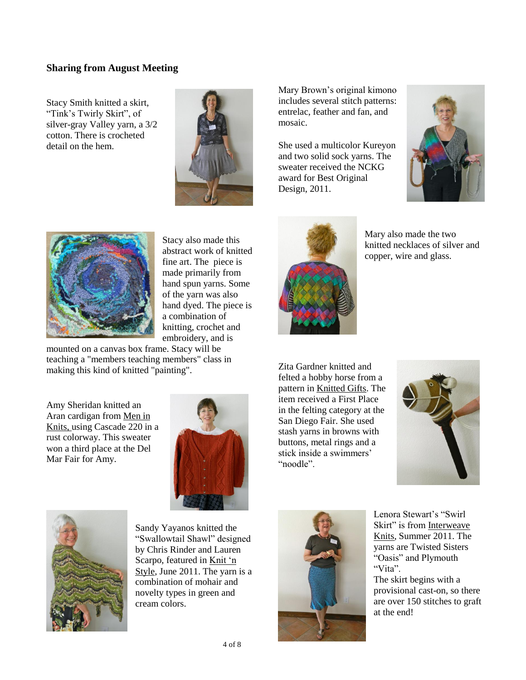#### **Sharing from August Meeting**

Stacy Smith knitted a skirt, "Tink"s Twirly Skirt", of silver-gray Valley yarn, a 3/2 cotton. There is crocheted detail on the hem.



Mary Brown"s original kimono includes several stitch patterns: entrelac, feather and fan, and mosaic.

She used a multicolor Kureyon and two solid sock yarns. The sweater received the NCKG award for Best Original Design, 2011.





Stacy also made this abstract work of knitted fine art. The piece is made primarily from hand spun yarns. Some of the yarn was also hand dyed. The piece is a combination of knitting, crochet and embroidery, and is

mounted on a canvas box frame. Stacy will be teaching a "members teaching members" class in making this kind of knitted "painting".

Amy Sheridan knitted an Aran cardigan from Men in Knits, using Cascade 220 in a rust colorway. This sweater won a third place at the Del Mar Fair for Amy.





Sandy Yayanos knitted the "Swallowtail Shawl" designed by Chris Rinder and Lauren Scarpo, featured in Knit 'n Style, June 2011. The yarn is a combination of mohair and novelty types in green and cream colors.



Mary also made the two knitted necklaces of silver and copper, wire and glass.

Zita Gardner knitted and felted a hobby horse from a pattern in Knitted Gifts. The item received a First Place in the felting category at the San Diego Fair. She used stash yarns in browns with buttons, metal rings and a stick inside a swimmers" "noodle".





Lenora Stewart's "Swirl Skirt" is from Interweave Knits, Summer 2011. The yarns are Twisted Sisters "Oasis" and Plymouth "Vita".

The skirt begins with a provisional cast-on, so there are over 150 stitches to graft at the end!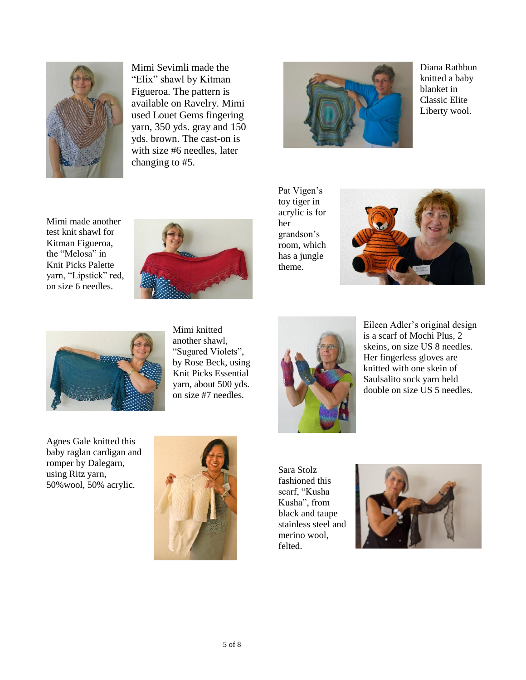

Mimi Sevimli made the "Elix" shawl by Kitman Figueroa. The pattern is available on Ravelry. Mimi used Louet Gems fingering yarn, 350 yds. gray and 150 yds. brown. The cast-on is with size #6 needles, later changing to #5.



Diana Rathbun knitted a baby blanket in Classic Elite Liberty wool.

Mimi made another test knit shawl for Kitman Figueroa, the "Melosa" in Knit Picks Palette yarn, "Lipstick" red, on size 6 needles.



Pat Vigen's toy tiger in acrylic is for her grandson"s room, which has a jungle theme.





Mimi knitted another shawl, "Sugared Violets", by Rose Beck, using Knit Picks Essential yarn, about 500 yds. on size #7 needles.



Eileen Adler"s original design is a scarf of Mochi Plus, 2 skeins, on size US 8 needles. Her fingerless gloves are knitted with one skein of Saulsalito sock yarn held double on size US 5 needles.

Agnes Gale knitted this baby raglan cardigan and romper by Dalegarn, using Ritz yarn, 50%wool, 50% acrylic.



Sara Stolz fashioned this scarf, "Kusha Kusha", from black and taupe stainless steel and merino wool, felted.

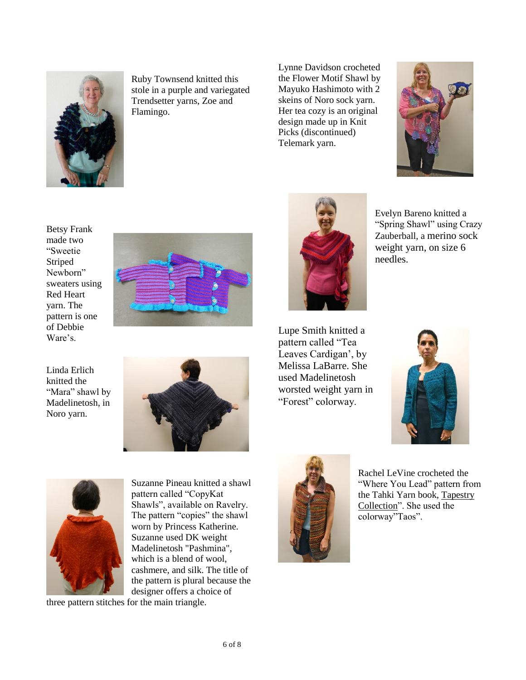

Ruby Townsend knitted this stole in a purple and variegated Trendsetter yarns, Zoe and Flamingo.

Lynne Davidson crocheted the Flower Motif Shawl by Mayuko Hashimoto with 2 skeins of Noro sock yarn. Her tea cozy is an original design made up in Knit Picks (discontinued) Telemark yarn.



Betsy Frank made two "Sweetie Striped Newborn" sweaters using Red Heart yarn. The pattern is one of Debbie Ware's.



Linda Erlich knitted the "Mara" shawl by Madelinetosh, in Noro yarn.



Evelyn Bareno knitted a "Spring Shawl" using Crazy Zauberball, a merino sock weight yarn, on size 6 needles.

Lupe Smith knitted a pattern called "Tea Leaves Cardigan', by Melissa LaBarre. She used Madelinetosh worsted weight yarn in "Forest" colorway.





Suzanne Pineau knitted a shawl pattern called "CopyKat Shawls", available on Ravelry. The pattern "copies" the shawl worn by Princess Katherine. cashmere, and silk. The title of the pattern is plural because the

Suzanne used DK weight Madelinetosh "Pashmina", which is a blend of wool, designer offers a choice of

three pattern stitches for the main triangle.



Rachel LeVine crocheted the "Where You Lead" pattern from the Tahki Yarn book, Tapestry Collection". She used the colorway"Taos".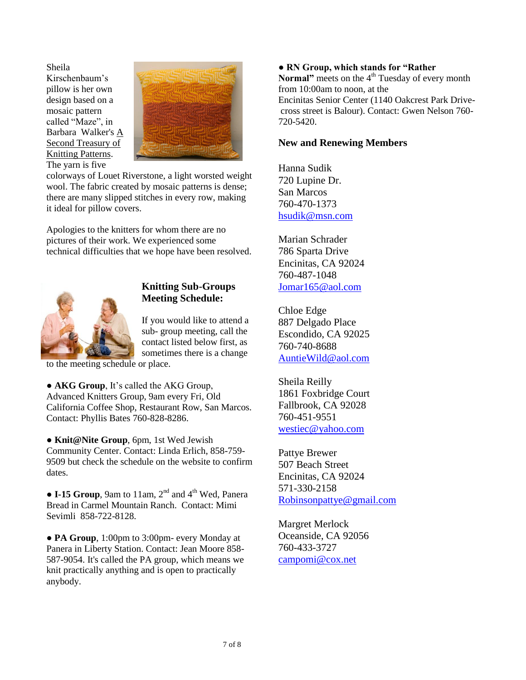Sheila Kirschenbaum"s pillow is her own design based on a mosaic pattern called "Maze", in Barbara Walker's A Second Treasury of Knitting Patterns. The yarn is five



colorways of Louet Riverstone, a light worsted weight wool. The fabric created by mosaic patterns is dense; there are many slipped stitches in every row, making it ideal for pillow covers.

Apologies to the knitters for whom there are no pictures of their work. We experienced some technical difficulties that we hope have been resolved.



#### **Knitting Sub-Groups Meeting Schedule:**

If you would like to attend a sub- group meeting, call the contact listed below first, as sometimes there is a change

to the meeting schedule or place.

● **AKG Group**, It"s called the AKG Group, Advanced Knitters Group, 9am every Fri, Old California Coffee Shop, Restaurant Row, San Marcos. Contact: Phyllis Bates 760-828-8286.

● **Knit@Nite Group**, 6pm, 1st Wed Jewish Community Center. Contact: Linda Erlich, 858-759- 9509 but check the schedule on the website to confirm dates.

 $\bullet$  **I-15 Group**, 9am to 11am, 2<sup>nd</sup> and 4<sup>th</sup> Wed, Panera Bread in Carmel Mountain Ranch. Contact: Mimi Sevimli 858-722-8128.

● **PA Group**, 1:00pm to 3:00pm- every Monday at Panera in Liberty Station. Contact: Jean Moore 858- 587-9054. It's called the PA group, which means we knit practically anything and is open to practically anybody.

#### **● RN Group, which stands for "Rather**

**Normal**" meets on the 4<sup>th</sup> Tuesday of every month from 10:00am to noon, at the Encinitas Senior Center (1140 Oakcrest Park Drivecross street is Balour). Contact: Gwen Nelson 760- 720-5420.

#### **New and Renewing Members**

Hanna Sudik 720 Lupine Dr. San Marcos 760-470-1373 [hsudik@msn.com](mailto:hsudik@msn.com)

Marian Schrader 786 Sparta Drive Encinitas, CA 92024 760-487-1048 [Jomar165@aol.com](mailto:Jomar165@aol.com)

Chloe Edge 887 Delgado Place Escondido, CA 92025 760-740-8688 [AuntieWild@aol.com](mailto:AuntieWild@aol.com)

Sheila Reilly 1861 Foxbridge Court Fallbrook, CA 92028 760-451-9551 [westiec@yahoo.com](mailto:westiec@yahoo.com)

Pattye Brewer 507 Beach Street Encinitas, CA 92024 571-330-2158 [Robinsonpattye@gmail.com](mailto:Robinsonpattye@gmail.com)

Margret Merlock Oceanside, CA 92056 760-433-3727 [campomi@cox.net](mailto:campomi@cox.net)